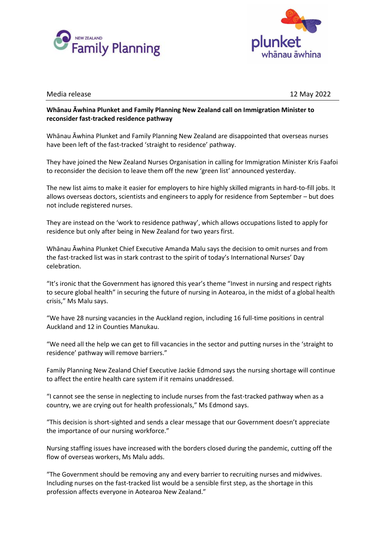



## Media release 12 May 2022

## **Whānau Āwhina Plunket and Family Planning New Zealand call on Immigration Minister to reconsider fast-tracked residence pathway**

Whānau Āwhina Plunket and Family Planning New Zealand are disappointed that overseas nurses have been left of the fast-tracked 'straight to residence' pathway.

They have joined the New Zealand Nurses Organisation in calling for Immigration Minister Kris Faafoi to reconsider the decision to leave them off the new 'green list' announced yesterday.

The new list aims to make it easier for employers to hire highly skilled migrants in hard-to-fill jobs. It allows overseas doctors, scientists and engineers to apply for residence from September – but does not include registered nurses.

They are instead on the 'work to residence pathway', which allows occupations listed to apply for residence but only after being in New Zealand for two years first.

Whānau Āwhina Plunket Chief Executive Amanda Malu says the decision to omit nurses and from the fast-tracked list was in stark contrast to the spirit of today's International Nurses' Day celebration.

"It's ironic that the Government has ignored this year's theme "Invest in nursing and respect rights to secure global health" in securing the future of nursing in Aotearoa, in the midst of a global health crisis," Ms Malu says.

"We have 28 nursing vacancies in the Auckland region, including 16 full-time positions in central Auckland and 12 in Counties Manukau.

"We need all the help we can get to fill vacancies in the sector and putting nurses in the 'straight to residence' pathway will remove barriers."

Family Planning New Zealand Chief Executive Jackie Edmond says the nursing shortage will continue to affect the entire health care system if it remains unaddressed.

"I cannot see the sense in neglecting to include nurses from the fast-tracked pathway when as a country, we are crying out for health professionals," Ms Edmond says.

"This decision is short-sighted and sends a clear message that our Government doesn't appreciate the importance of our nursing workforce."

Nursing staffing issues have increased with the borders closed during the pandemic, cutting off the flow of overseas workers, Ms Malu adds.

"The Government should be removing any and every barrier to recruiting nurses and midwives. Including nurses on the fast-tracked list would be a sensible first step, as the shortage in this profession affects everyone in Aotearoa New Zealand."